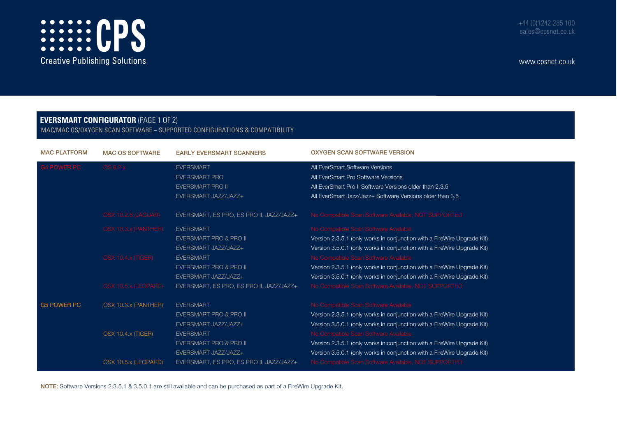

www.cpsnet.co.uk

## **EVERSMART CONFIGURATOR** (PAGE 1 OF 2)

MAC/MAC OS/OXYGEN SCAN SOFTWARE – SUPPORTED CONFIGURATIONS & COMPATIBILITY

| <b>MAC PLATFORM</b> | <b>MAC OS SOFTWARE</b> | <b>EARLY EVERSMART SCANNERS</b>                                                             | <b>OXYGEN SCAN SOFTWARE VERSION</b>                                                                                                                                                            |  |  |  |  |
|---------------------|------------------------|---------------------------------------------------------------------------------------------|------------------------------------------------------------------------------------------------------------------------------------------------------------------------------------------------|--|--|--|--|
| <b>G4 POWER PC</b>  | OS 9.2.x               | <b>EVERSMART</b><br><b>EVERSMART PRO</b><br><b>EVERSMART PRO II</b><br>EVERSMART JAZZ/JAZZ+ | All EverSmart Software Versions<br>All EverSmart Pro Software Versions<br>All EverSmart Pro II Software Versions older than 2.3.5<br>All EverSmart Jazz/Jazz+ Software Versions older than 3.5 |  |  |  |  |
|                     | OSX 10.2.8 (JAGUAR)    | EVERSMART, ES PRO, ES PRO II, JAZZ/JAZZ+                                                    | No Compatible Scan Software Available, NOT SUPPORTED                                                                                                                                           |  |  |  |  |
|                     | OSX 10.3.x (PANTHER)   | <b>EVERSMART</b>                                                                            | No Compatible Scan Software Available                                                                                                                                                          |  |  |  |  |
|                     |                        | EVERSMART PRO & PRO II                                                                      | Version 2.3.5.1 (only works in conjunction with a FireWire Upgrade Kit)                                                                                                                        |  |  |  |  |
|                     |                        | EVERSMART JAZZ/JAZZ+                                                                        | Version 3.5.0.1 (only works in conjunction with a FireWire Upgrade Kit)                                                                                                                        |  |  |  |  |
|                     | OSX 10.4.x (TIGER)     | <b>EVERSMART</b>                                                                            | No Compatible Scan Software Available                                                                                                                                                          |  |  |  |  |
|                     |                        | EVERSMART PRO & PRO II                                                                      | Version 2.3.5.1 (only works in conjunction with a FireWire Upgrade Kit)                                                                                                                        |  |  |  |  |
|                     |                        | EVERSMART JAZZ/JAZZ+                                                                        | Version 3.5.0.1 (only works in conjunction with a FireWire Upgrade Kit)                                                                                                                        |  |  |  |  |
|                     | OSX 10.5.x (LEOPARD)   | EVERSMART, ES PRO, ES PRO II, JAZZ/JAZZ+                                                    | No Compatible Scan Software Available, NOT SUPPORTED                                                                                                                                           |  |  |  |  |
| <b>G5 POWER PC</b>  | OSX 10.3.x (PANTHER)   | <b>EVERSMART</b>                                                                            | No Compatible Scan Software Available                                                                                                                                                          |  |  |  |  |
|                     |                        | EVERSMART PRO & PRO II                                                                      | Version 2.3.5.1 (only works in conjunction with a FireWire Upgrade Kit)                                                                                                                        |  |  |  |  |
|                     |                        | EVERSMART JAZZ/JAZZ+                                                                        | Version 3.5.0.1 (only works in conjunction with a FireWire Upgrade Kit)                                                                                                                        |  |  |  |  |
|                     | OSX 10.4.x (TIGER)     | <b>EVERSMART</b>                                                                            | No Compatible Scan Software Available                                                                                                                                                          |  |  |  |  |
|                     |                        | <b>EVERSMART PRO &amp; PRO II</b>                                                           | Version 2.3.5.1 (only works in conjunction with a FireWire Upgrade Kit)                                                                                                                        |  |  |  |  |
|                     |                        | EVERSMART JAZZ/JAZZ+                                                                        | Version 3.5.0.1 (only works in conjunction with a FireWire Upgrade Kit)                                                                                                                        |  |  |  |  |
|                     | OSX 10.5.x (LEOPARD)   | EVERSMART, ES PRO, ES PRO II, JAZZ/JAZZ+                                                    | No Compatible Scan Software Available, NOT SUPPORTED                                                                                                                                           |  |  |  |  |

NOTE: Software Versions 2.3.5.1 & 3.5.0.1 are still available and can be purchased as part of a FireWire Upgrade Kit.